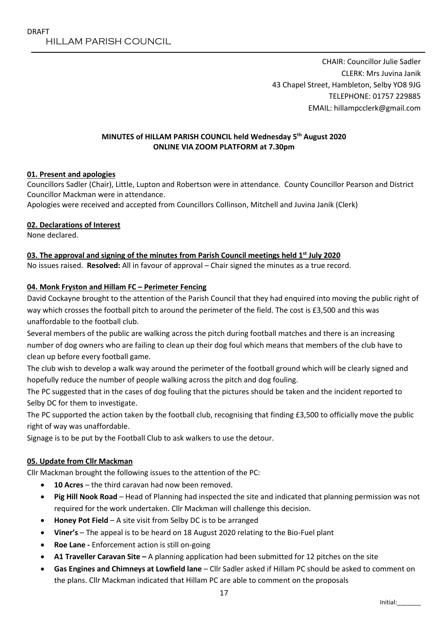CHAIR: Councillor Julie Sadler CLERK: Mrs Juvina Janik 43 Chapel Street, Hambleton, Selby YO8 9JG TELEPHONE: 01757 229885 EMAIL: hillampcclerk@gmail.com

### **MINUTES of HILLAM PARISH COUNCIL held Wednesday 5 th August 2020 ONLINE VIA ZOOM PLATFORM at 7.30pm**

# **01. Present and apologies**

Councillors Sadler (Chair), Little, Lupton and Robertson were in attendance. County Councillor Pearson and District Councillor Mackman were in attendance.

Apologies were received and accepted from Councillors Collinson, Mitchell and Juvina Janik (Clerk)

### **02. Declarations of Interest**

None declared.

#### **03. The approval and signing of the minutes from Parish Council meetings held 1 st July 2020**

No issues raised. **Resolved:** All in favour of approval – Chair signed the minutes as a true record.

#### **04. Monk Fryston and Hillam FC – Perimeter Fencing**

David Cockayne brought to the attention of the Parish Council that they had enquired into moving the public right of way which crosses the football pitch to around the perimeter of the field. The cost is £3,500 and this was unaffordable to the football club.

Several members of the public are walking across the pitch during football matches and there is an increasing number of dog owners who are failing to clean up their dog foul which means that members of the club have to clean up before every football game.

The club wish to develop a walk way around the perimeter of the football ground which will be clearly signed and hopefully reduce the number of people walking across the pitch and dog fouling.

The PC suggested that in the cases of dog fouling that the pictures should be taken and the incident reported to Selby DC for them to investigate.

The PC supported the action taken by the football club, recognising that finding £3,500 to officially move the public right of way was unaffordable.

Signage is to be put by the Football Club to ask walkers to use the detour.

### **05. Update from Cllr Mackman**

Cllr Mackman brought the following issues to the attention of the PC:

- **10 Acres** the third caravan had now been removed.
- **Pig Hill Nook Road** Head of Planning had inspected the site and indicated that planning permission was not required for the work undertaken. Cllr Mackman will challenge this decision.
- **Honey Pot Field** A site visit from Selby DC is to be arranged
- **Viner's** The appeal is to be heard on 18 August 2020 relating to the Bio-Fuel plant
- **Roe Lane -** Enforcement action is still on-going
- **A1 Traveller Caravan Site –** A planning application had been submitted for 12 pitches on the site
- **Gas Engines and Chimneys at Lowfield lane** Cllr Sadler asked if Hillam PC should be asked to comment on the plans. Cllr Mackman indicated that Hillam PC are able to comment on the proposals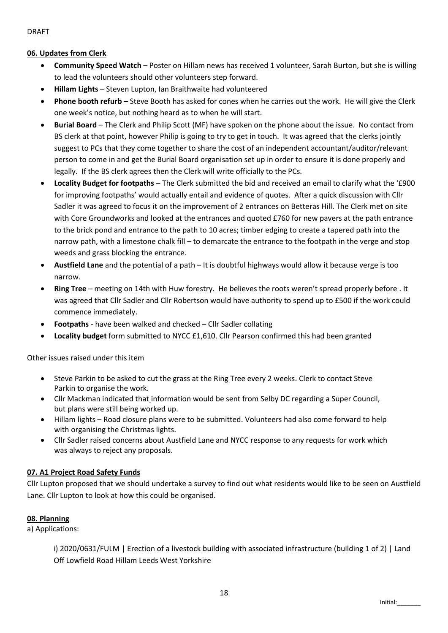DRAFT

## **06. Updates from Clerk**

- **Community Speed Watch** Poster on Hillam news has received 1 volunteer, Sarah Burton, but she is willing to lead the volunteers should other volunteers step forward.
- **Hillam Lights** Steven Lupton, Ian Braithwaite had volunteered
- **Phone booth refurb** Steve Booth has asked for cones when he carries out the work. He will give the Clerk one week's notice, but nothing heard as to when he will start.
- **Burial Board** The Clerk and Philip Scott (MF) have spoken on the phone about the issue. No contact from BS clerk at that point, however Philip is going to try to get in touch. It was agreed that the clerks jointly suggest to PCs that they come together to share the cost of an independent accountant/auditor/relevant person to come in and get the Burial Board organisation set up in order to ensure it is done properly and legally. If the BS clerk agrees then the Clerk will write officially to the PCs.
- **Locality Budget for footpaths** The Clerk submitted the bid and received an email to clarify what the '£900 for improving footpaths' would actually entail and evidence of quotes. After a quick discussion with Cllr Sadler it was agreed to focus it on the improvement of 2 entrances on Betteras Hill. The Clerk met on site with Core Groundworks and looked at the entrances and quoted £760 for new pavers at the path entrance to the brick pond and entrance to the path to 10 acres; timber edging to create a tapered path into the narrow path, with a limestone chalk fill – to demarcate the entrance to the footpath in the verge and stop weeds and grass blocking the entrance.
- **Austfield Lane** and the potential of a path It is doubtful highways would allow it because verge is too narrow.
- **Ring Tree** meeting on 14th with Huw forestry. He believes the roots weren't spread properly before . It was agreed that Cllr Sadler and Cllr Robertson would have authority to spend up to £500 if the work could commence immediately.
- **Footpaths** have been walked and checked Cllr Sadler collating
- **Locality budget** form submitted to NYCC £1,610. Cllr Pearson confirmed this had been granted

Other issues raised under this item

- Steve Parkin to be asked to cut the grass at the Ring Tree every 2 weeks. Clerk to contact Steve Parkin to organise the work.
- Cllr Mackman indicated that information would be sent from Selby DC regarding a Super Council, but plans were still being worked up.
- Hillam lights Road closure plans were to be submitted. Volunteers had also come forward to help with organising the Christmas lights.
- Cllr Sadler raised concerns about Austfield Lane and NYCC response to any requests for work which was always to reject any proposals.

# **07. A1 Project Road Safety Funds**

Cllr Lupton proposed that we should undertake a survey to find out what residents would like to be seen on Austfield Lane. Cllr Lupton to look at how this could be organised.

### **08. Planning**

a) Applications:

i) 2020/0631/FULM | Erection of a livestock building with associated infrastructure (building 1 of 2) | Land Off Lowfield Road Hillam Leeds West Yorkshire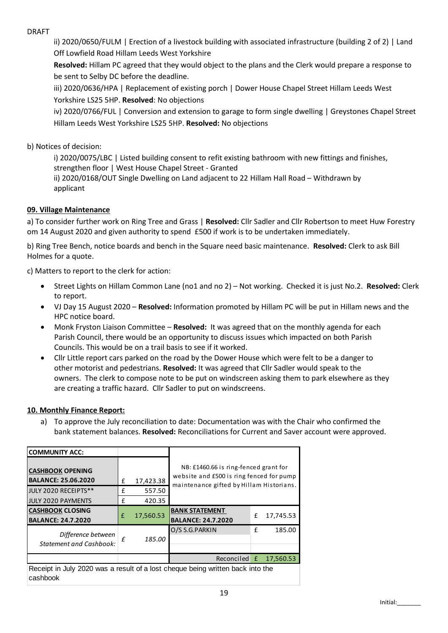### DRAFT

ii) 2020/0650/FULM | Erection of a livestock building with associated infrastructure (building 2 of 2) | Land Off Lowfield Road Hillam Leeds West Yorkshire

**Resolved:** Hillam PC agreed that they would object to the plans and the Clerk would prepare a response to be sent to Selby DC before the deadline.

iii) 2020/0636/HPA | Replacement of existing porch | Dower House Chapel Street Hillam Leeds West Yorkshire LS25 5HP. **Resolved**: No objections

iv) 2020/0766/FUL | Conversion and extension to garage to form single dwelling | Greystones Chapel Street Hillam Leeds West Yorkshire LS25 5HP. **Resolved:** No objections

### b) Notices of decision:

i) 2020/0075/LBC | Listed building consent to refit existing bathroom with new fittings and finishes, strengthen floor | West House Chapel Street - Granted ii) 2020/0168/OUT Single Dwelling on Land adjacent to 22 Hillam Hall Road – Withdrawn by

# **09. Village Maintenance**

applicant

a) To consider further work on Ring Tree and Grass | **Resolved:** Cllr Sadler and Cllr Robertson to meet Huw Forestry om 14 August 2020 and given authority to spend £500 if work is to be undertaken immediately.

b) Ring Tree Bench, notice boards and bench in the Square need basic maintenance. **Resolved:** Clerk to ask Bill Holmes for a quote.

c) Matters to report to the clerk for action:

- Street Lights on Hillam Common Lane (no1 and no 2) Not working. Checked it is just No.2. **Resolved:** Clerk to report.
- VJ Day 15 August 2020 **Resolved:** Information promoted by Hillam PC will be put in Hillam news and the HPC notice board.
- Monk Fryston Liaison Committee **Resolved:** It was agreed that on the monthly agenda for each Parish Council, there would be an opportunity to discuss issues which impacted on both Parish Councils. This would be on a trail basis to see if it worked.
- Cllr Little report cars parked on the road by the Dower House which were felt to be a danger to other motorist and pedestrians. **Resolved:** It was agreed that Cllr Sadler would speak to the owners. The clerk to compose note to be put on windscreen asking them to park elsewhere as they are creating a traffic hazard. Cllr Sadler to put on windscreens.

#### **10. Monthly Finance Report:**

a) To approve the July reconciliation to date: Documentation was with the Chair who confirmed the bank statement balances. **Resolved:** Reconciliations for Current and Saver account were approved.

| <b>COMMUNITY ACC:</b>                                                                      |   |           |                                                                                                                               |   |           |  |  |
|--------------------------------------------------------------------------------------------|---|-----------|-------------------------------------------------------------------------------------------------------------------------------|---|-----------|--|--|
| <b>CASHBOOK OPENING</b><br><b>BALANCE: 25.06.2020</b>                                      | £ | 17,423.38 | NB: £1460.66 is ring-fenced grant for<br>website and £500 is ring fenced for pump<br>maintenance gifted by Hillam Historians. |   |           |  |  |
| JULY 2020 RECEIPTS**                                                                       | £ | 557.50    |                                                                                                                               |   |           |  |  |
| <b>JULY 2020 PAYMENTS</b>                                                                  | £ | 420.35    |                                                                                                                               |   |           |  |  |
| <b>CASHBOOK CLOSING</b><br><b>BALANCE: 24.7.2020</b>                                       | f | 17,560.53 | <b>BANK STATEMENT</b><br><b>BALANCE: 24.7.2020</b>                                                                            | £ | 17,745.53 |  |  |
| Difference between<br><b>Statement and Cashbook:</b>                                       | £ | 185.00    | O/S S.G.PARKIN                                                                                                                | f | 185.00    |  |  |
|                                                                                            |   |           | Reconciled £                                                                                                                  |   | 17,560.53 |  |  |
| Receipt in July 2020 was a result of a lost cheque being written back into the<br>cashbook |   |           |                                                                                                                               |   |           |  |  |